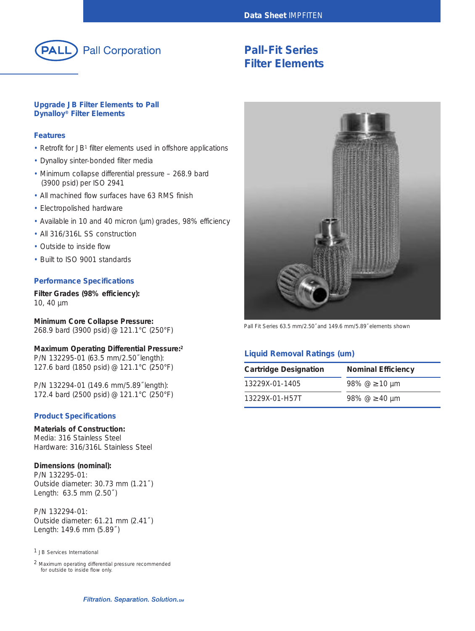

# **Pall-Fit Series Filter Elements**

## **Upgrade JB Filter Elements to Pall Dynalloy® Filter Elements**

## **Features**

- Retrofit for JB<sup>1</sup> filter elements used in offshore applications
- Dynalloy sinter-bonded filter media
- Minimum collapse differential pressure 268.9 bard (3900 psid) per ISO 2941
- All machined flow surfaces have 63 RMS finish
- Electropolished hardware
- Available in 10 and 40 micron (µm) grades, 98% efficiency
- All 316/316L SS construction
- Outside to inside flow
- Built to ISO 9001 standards

## **Performance Specifications**

**Filter Grades (98% efficiency):** 10, 40 µm

**Minimum Core Collapse Pressure:** 268.9 bard (3900 psid) @ 121.1°C (250°F)

## **Maximum Operating Differential Pressure:2** P/N 132295-01 (63.5 mm/2.50˝ length):

127.6 bard (1850 psid) @ 121.1°C (250°F)

P/N 132294-01 (149.6 mm/5.89˝ length): 172.4 bard (2500 psid) @ 121.1°C (250°F)

## **Product Specifications**

## **Materials of Construction:**

Media: 316 Stainless Steel Hardware: 316/316L Stainless Steel

## **Dimensions (nominal):**

P/N 132295-01: Outside diameter: 30.73 mm (1.21˝ ) Length: 63.5 mm (2.50˝ )

P/N 132294-01: Outside diameter: 61.21 mm (2.41˝ ) Length: 149.6 mm (5.89˝ )

## 1 JB Services International

2 Maximum operating differential pressure recommended for outside to inside flow only.



Pall Fit Series 63.5 mm/2.50˝ and 149.6 mm/5.89˝ elements shown

# **Liquid Removal Ratings (um)**

| <b>Cartridge Designation</b> | <b>Nominal Efficiency</b> |
|------------------------------|---------------------------|
| 13229X-01-1405               | 98% $@ \geq 10 \mu m$     |
| 13229X-01-H57T               | 98% $@>40 \mu m$          |